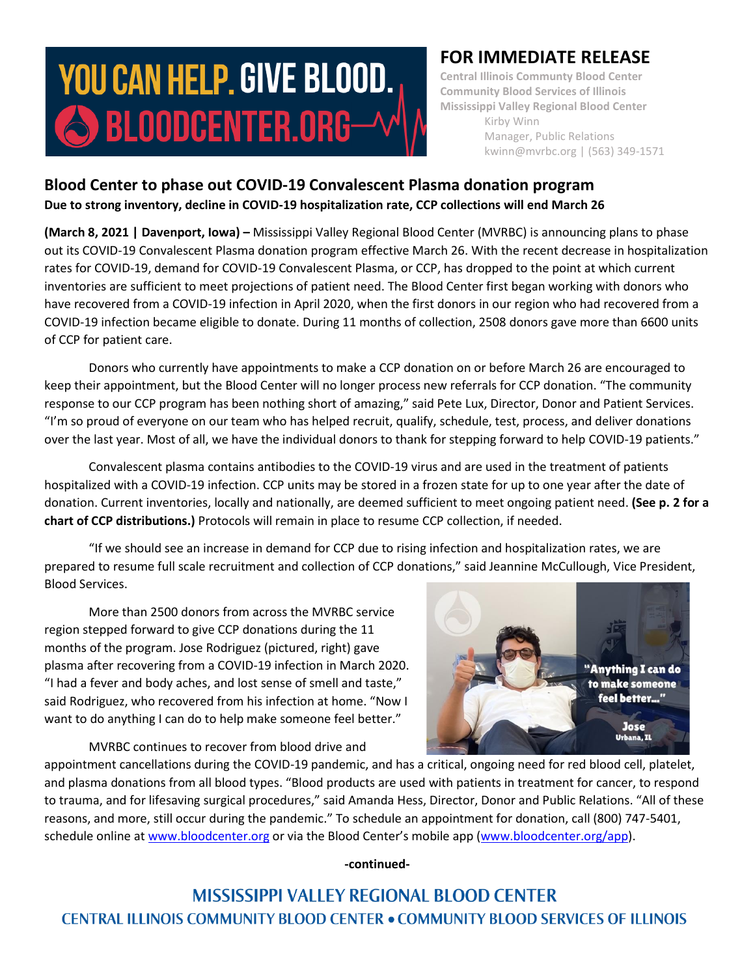# **YOU CAN HELP. GIVE BLOOD.** SBLOODCENTER.ORG-

## **FOR IMMEDIATE RELEASE**

**Central Illinois Communty Blood Center Community Blood Services of Illinois Mississippi Valley Regional Blood Center** Kirby Winn Manager, Public Relations kwinn@mvrbc.org | (563) 349-1571

### **Blood Center to phase out COVID-19 Convalescent Plasma donation program Due to strong inventory, decline in COVID-19 hospitalization rate, CCP collections will end March 26**

**(March 8, 2021 | Davenport, Iowa) –** Mississippi Valley Regional Blood Center (MVRBC) is announcing plans to phase out its COVID-19 Convalescent Plasma donation program effective March 26. With the recent decrease in hospitalization rates for COVID-19, demand for COVID-19 Convalescent Plasma, or CCP, has dropped to the point at which current inventories are sufficient to meet projections of patient need. The Blood Center first began working with donors who have recovered from a COVID-19 infection in April 2020, when the first donors in our region who had recovered from a COVID-19 infection became eligible to donate. During 11 months of collection, 2508 donors gave more than 6600 units of CCP for patient care.

Donors who currently have appointments to make a CCP donation on or before March 26 are encouraged to keep their appointment, but the Blood Center will no longer process new referrals for CCP donation. "The community response to our CCP program has been nothing short of amazing," said Pete Lux, Director, Donor and Patient Services. "I'm so proud of everyone on our team who has helped recruit, qualify, schedule, test, process, and deliver donations over the last year. Most of all, we have the individual donors to thank for stepping forward to help COVID-19 patients."

Convalescent plasma contains antibodies to the COVID-19 virus and are used in the treatment of patients hospitalized with a COVID-19 infection. CCP units may be stored in a frozen state for up to one year after the date of donation. Current inventories, locally and nationally, are deemed sufficient to meet ongoing patient need. **(See p. 2 for a chart of CCP distributions.)** Protocols will remain in place to resume CCP collection, if needed.

"If we should see an increase in demand for CCP due to rising infection and hospitalization rates, we are prepared to resume full scale recruitment and collection of CCP donations," said Jeannine McCullough, Vice President, Blood Services.

More than 2500 donors from across the MVRBC service region stepped forward to give CCP donations during the 11 months of the program. Jose Rodriguez (pictured, right) gave plasma after recovering from a COVID-19 infection in March 2020. "I had a fever and body aches, and lost sense of smell and taste," said Rodriguez, who recovered from his infection at home. "Now I want to do anything I can do to help make someone feel better."

"Anything I can do to make someone feel better...' **Jose Urbana**, IL

MVRBC continues to recover from blood drive and

appointment cancellations during the COVID-19 pandemic, and has a critical, ongoing need for red blood cell, platelet, and plasma donations from all blood types. "Blood products are used with patients in treatment for cancer, to respond to trauma, and for lifesaving surgical procedures," said Amanda Hess, Director, Donor and Public Relations. "All of these reasons, and more, still occur during the pandemic." To schedule an appointment for donation, call (800) 747-5401, schedule online at [www.bloodcenter.org](http://www.bloodcenter.org/) or via the Blood Center's mobile app ([www.bloodcenter.org/app\)](http://www.bloodcenter.org/app).

**-continued-**

**MISSISSIPPI VALLEY REGIONAL BLOOD CENTER CENTRAL ILLINOIS COMMUNITY BLOOD CENTER . COMMUNITY BLOOD SERVICES OF ILLINOIS**